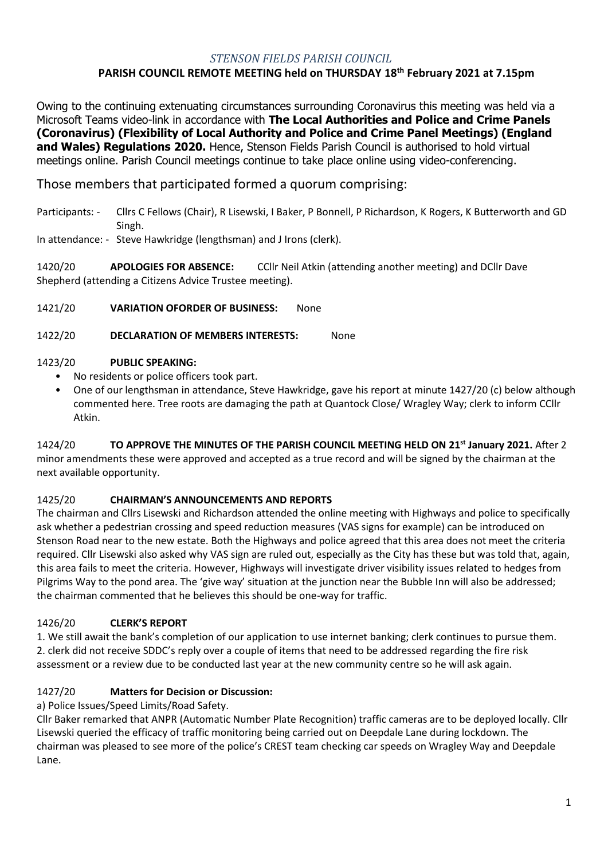## *STENSON FIELDS PARISH COUNCIL*

## **PARISH COUNCIL REMOTE MEETING held on THURSDAY 18th February 2021 at 7.15pm**

Owing to the continuing extenuating circumstances surrounding Coronavirus this meeting was held via a Microsoft Teams video-link in accordance with **The Local Authorities and Police and Crime Panels (Coronavirus) (Flexibility of Local Authority and Police and Crime Panel Meetings) (England and Wales) Regulations 2020.** Hence, Stenson Fields Parish Council is authorised to hold virtual meetings online. Parish Council meetings continue to take place online using video-conferencing.

# Those members that participated formed a quorum comprising:

- Participants: Cllrs C Fellows (Chair), R Lisewski, I Baker, P Bonnell, P Richardson, K Rogers, K Butterworth and GD Singh.
- In attendance: Steve Hawkridge (lengthsman) and J Irons (clerk).

1420/20 **APOLOGIES FOR ABSENCE:** CCllr Neil Atkin (attending another meeting) and DCllr Dave Shepherd (attending a Citizens Advice Trustee meeting).

1421/20 **VARIATION OFORDER OF BUSINESS:** None

1422/20 **DECLARATION OF MEMBERS INTERESTS:** None

## 1423/20 **PUBLIC SPEAKING:**

- No residents or police officers took part.
- One of our lengthsman in attendance, Steve Hawkridge, gave his report at minute 1427/20 (c) below although commented here. Tree roots are damaging the path at Quantock Close/ Wragley Way; clerk to inform CCllr Atkin.

1424/20 **TO APPROVE THE MINUTES OF THE PARISH COUNCIL MEETING HELD ON 21st January 2021.** After 2 minor amendments these were approved and accepted as a true record and will be signed by the chairman at the next available opportunity.

## 1425/20 **CHAIRMAN'S ANNOUNCEMENTS AND REPORTS**

The chairman and Cllrs Lisewski and Richardson attended the online meeting with Highways and police to specifically ask whether a pedestrian crossing and speed reduction measures (VAS signs for example) can be introduced on Stenson Road near to the new estate. Both the Highways and police agreed that this area does not meet the criteria required. Cllr Lisewski also asked why VAS sign are ruled out, especially as the City has these but was told that, again, this area fails to meet the criteria. However, Highways will investigate driver visibility issues related to hedges from Pilgrims Way to the pond area. The 'give way' situation at the junction near the Bubble Inn will also be addressed; the chairman commented that he believes this should be one-way for traffic.

## 1426/20 **CLERK'S REPORT**

1. We still await the bank's completion of our application to use internet banking; clerk continues to pursue them. 2. clerk did not receive SDDC's reply over a couple of items that need to be addressed regarding the fire risk assessment or a review due to be conducted last year at the new community centre so he will ask again.

## 1427/20 **Matters for Decision or Discussion:**

a) Police Issues/Speed Limits/Road Safety.

Cllr Baker remarked that ANPR (Automatic Number Plate Recognition) traffic cameras are to be deployed locally. Cllr Lisewski queried the efficacy of traffic monitoring being carried out on Deepdale Lane during lockdown. The chairman was pleased to see more of the police's CREST team checking car speeds on Wragley Way and Deepdale Lane.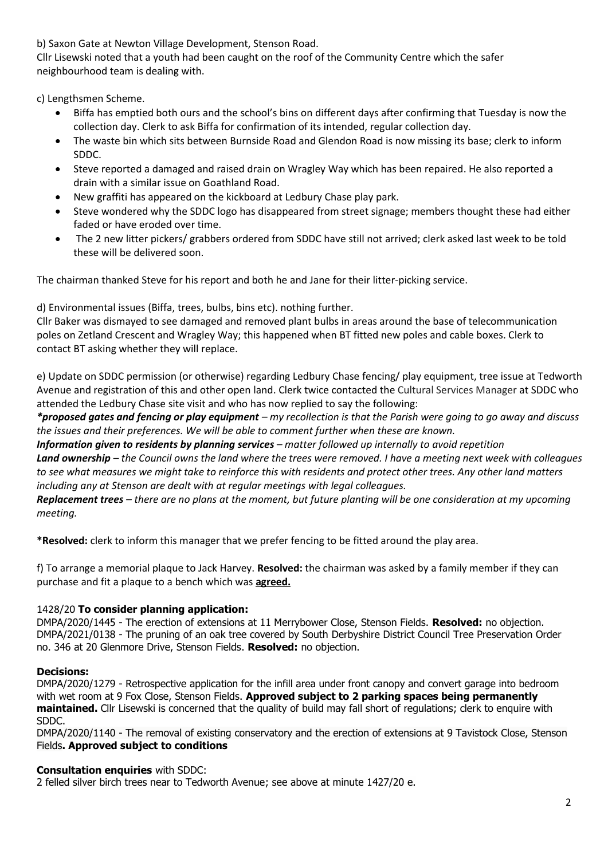b) Saxon Gate at Newton Village Development, Stenson Road.

Cllr Lisewski noted that a youth had been caught on the roof of the Community Centre which the safer neighbourhood team is dealing with.

c) Lengthsmen Scheme.

- Biffa has emptied both ours and the school's bins on different days after confirming that Tuesday is now the collection day. Clerk to ask Biffa for confirmation of its intended, regular collection day.
- The waste bin which sits between Burnside Road and Glendon Road is now missing its base; clerk to inform SDDC.
- Steve reported a damaged and raised drain on Wragley Way which has been repaired. He also reported a drain with a similar issue on Goathland Road.
- New graffiti has appeared on the kickboard at Ledbury Chase play park.
- Steve wondered why the SDDC logo has disappeared from street signage; members thought these had either faded or have eroded over time.
- The 2 new litter pickers/ grabbers ordered from SDDC have still not arrived; clerk asked last week to be told these will be delivered soon.

The chairman thanked Steve for his report and both he and Jane for their litter-picking service.

d) Environmental issues (Biffa, trees, bulbs, bins etc). nothing further.

Cllr Baker was dismayed to see damaged and removed plant bulbs in areas around the base of telecommunication poles on Zetland Crescent and Wragley Way; this happened when BT fitted new poles and cable boxes. Clerk to contact BT asking whether they will replace.

e) Update on SDDC permission (or otherwise) regarding Ledbury Chase fencing/ play equipment, tree issue at Tedworth Avenue and registration of this and other open land. Clerk twice contacted the Cultural Services Manager at SDDC who attended the Ledbury Chase site visit and who has now replied to say the following:

*\*proposed gates and fencing or play equipment – my recollection is that the Parish were going to go away and discuss the issues and their preferences. We will be able to comment further when these are known.*

*Information given to residents by planning services – matter followed up internally to avoid repetition Land ownership – the Council owns the land where the trees were removed. I have a meeting next week with colleagues to see what measures we might take to reinforce this with residents and protect other trees. Any other land matters including any at Stenson are dealt with at regular meetings with legal colleagues.*

*Replacement trees – there are no plans at the moment, but future planting will be one consideration at my upcoming meeting.*

**\*Resolved:** clerk to inform this manager that we prefer fencing to be fitted around the play area.

f) To arrange a memorial plaque to Jack Harvey. **Resolved:** the chairman was asked by a family member if they can purchase and fit a plaque to a bench which was **agreed.**

# 1428/20 **To consider planning application:**

DMPA/2020/1445 - The erection of extensions at 11 Merrybower Close, Stenson Fields. **Resolved:** no objection. DMPA/2021/0138 - The pruning of an oak tree covered by South Derbyshire District Council Tree Preservation Order no. 346 at 20 Glenmore Drive, Stenson Fields. **Resolved:** no objection.

## **Decisions:**

DMPA/2020/1279 - Retrospective application for the infill area under front canopy and convert garage into bedroom with wet room at 9 Fox Close, Stenson Fields. **Approved subject to 2 parking spaces being permanently maintained.** Cllr Lisewski is concerned that the quality of build may fall short of regulations; clerk to enquire with SDDC.

DMPA/2020/1140 - The removal of existing conservatory and the erection of extensions at 9 Tavistock Close, Stenson Fields**. Approved subject to conditions**

## **Consultation enquiries** with SDDC:

2 felled silver birch trees near to Tedworth Avenue; see above at minute 1427/20 e.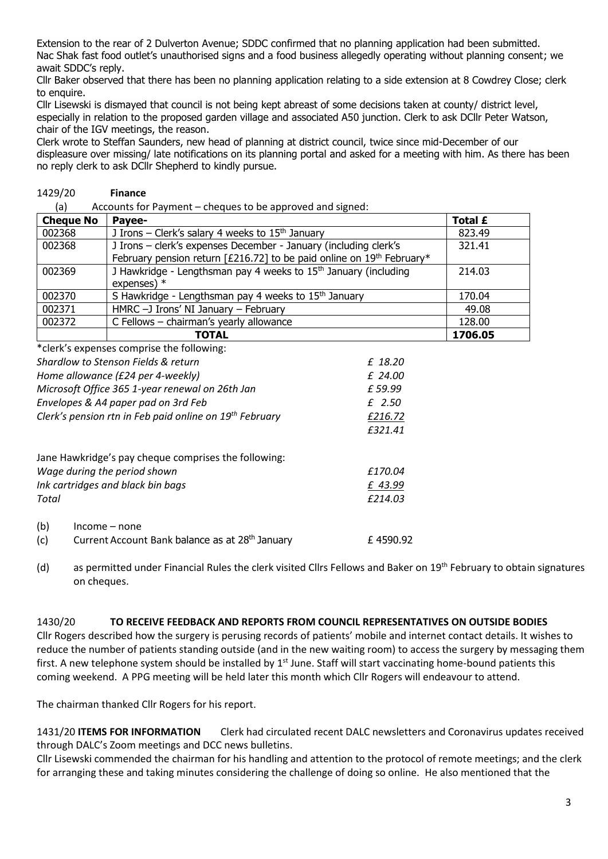Extension to the rear of 2 Dulverton Avenue; SDDC confirmed that no planning application had been submitted. Nac Shak fast food outlet's unauthorised signs and a food business allegedly operating without planning consent; we await SDDC's reply.

Cllr Baker observed that there has been no planning application relating to a side extension at 8 Cowdrey Close; clerk to enquire.

Cllr Lisewski is dismayed that council is not being kept abreast of some decisions taken at county/ district level, especially in relation to the proposed garden village and associated A50 junction. Clerk to ask DCllr Peter Watson, chair of the IGV meetings, the reason.

Clerk wrote to Steffan Saunders, new head of planning at district council, twice since mid-December of our displeasure over missing/ late notifications on its planning portal and asked for a meeting with him. As there has been no reply clerk to ask DCllr Shepherd to kindly pursue.

#### 1429/20 **Finance**

(a) Accounts for Payment – cheques to be approved and signed:

| <b>Cheque No</b> | Payee-                                                                                                                                    | Total £ |
|------------------|-------------------------------------------------------------------------------------------------------------------------------------------|---------|
| 002368           | J Irons – Clerk's salary 4 weeks to $15th$ January                                                                                        | 823.49  |
| 002368           | J Irons - clerk's expenses December - January (including clerk's<br>February pension return [£216.72] to be paid online on 19th February* | 321.41  |
| 002369           | J Hawkridge - Lengthsman pay 4 weeks to 15 <sup>th</sup> January (including<br>expenses) $*$                                              | 214.03  |
| 002370           | S Hawkridge - Lengthsman pay 4 weeks to 15 <sup>th</sup> January                                                                          | 170.04  |
| 002371           | HMRC -J Irons' NI January - February                                                                                                      | 49.08   |
| 002372           | C Fellows - chairman's yearly allowance                                                                                                   | 128.00  |
|                  | TOTAL                                                                                                                                     | 1706.05 |

|                                                                     | *clerk's expenses comprise the following:            |          |  |
|---------------------------------------------------------------------|------------------------------------------------------|----------|--|
|                                                                     | Shardlow to Stenson Fields & return                  | £ 18.20  |  |
|                                                                     | Home allowance (£24 per 4-weekly)                    | £ 24.00  |  |
| Microsoft Office 365 1-year renewal on 26th Jan                     |                                                      | £59.99   |  |
| Envelopes & A4 paper pad on 3rd Feb                                 |                                                      | £ 2.50   |  |
| Clerk's pension rtn in Feb paid online on 19 <sup>th</sup> February |                                                      | £216.72  |  |
|                                                                     |                                                      | £321.41  |  |
|                                                                     | Jane Hawkridge's pay cheque comprises the following: |          |  |
|                                                                     | Wage during the period shown                         | £170.04  |  |
|                                                                     | Ink cartridges and black bin bags                    | £ 43.99  |  |
| Total                                                               |                                                      | £214.03  |  |
| (b)                                                                 | Income – none                                        |          |  |
| (c)                                                                 | Current Account Bank balance as at 28th January      | £4590.92 |  |

(d) as permitted under Financial Rules the clerk visited Cllrs Fellows and Baker on  $19<sup>th</sup>$  February to obtain signatures on cheques.

#### 1430/20 **TO RECEIVE FEEDBACK AND REPORTS FROM COUNCIL REPRESENTATIVES ON OUTSIDE BODIES**

Cllr Rogers described how the surgery is perusing records of patients' mobile and internet contact details. It wishes to reduce the number of patients standing outside (and in the new waiting room) to access the surgery by messaging them first. A new telephone system should be installed by  $1<sup>st</sup>$  June. Staff will start vaccinating home-bound patients this coming weekend. A PPG meeting will be held later this month which Cllr Rogers will endeavour to attend.

The chairman thanked Cllr Rogers for his report.

1431/20 **ITEMS FOR INFORMATION** Clerk had circulated recent DALC newsletters and Coronavirus updates received through DALC's Zoom meetings and DCC news bulletins.

Cllr Lisewski commended the chairman for his handling and attention to the protocol of remote meetings; and the clerk for arranging these and taking minutes considering the challenge of doing so online. He also mentioned that the